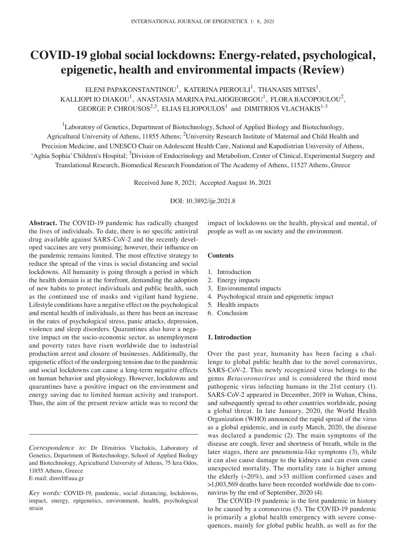# **COVID‑19 global social lockdowns: Energy‑related, psychological, epigenetic, health and environmental impacts (Review)**

ELENI PAPAKONSTANTINOU $^1$ , KATERINA PIEROULI $^1$ , THANASIS MITSIS $^1$ , KALLIOPI IO DIAKOU $^{\rm l}$ , ANASTASIA MARINA PALAIOGEORGOU $^{\rm l}$ , FLORA BACOPOULOU $^{\rm 2}$ , GEORGE P. CHROUSOS<sup>2,3</sup>, ELIAS ELIOPOULOS<sup>1</sup> and DIMITRIOS VLACHAKIS<sup>1-3</sup>

<sup>1</sup>Laboratory of Genetics, Department of Biotechnology, School of Applied Biology and Biotechnology, Agricultural University of Athens, 11855 Athens; <sup>2</sup>University Research Institute of Maternal and Child Health and Precision Medicine, and UNESCO Chair on Adolescent Health Care, National and Kapodistrian University of Athens, 'Aghia Sophia' Children's Hospital; <sup>3</sup>Division of Endocrinology and Metabolism, Center of Clinical, Experimental Surgery and Translational Research, Biomedical Research Foundation of The Academy of Athens, 11527 Athens, Greece

Received June 8, 2021; Accepted August 16, 2021

DOI: 10.3892/ije.2021.8

**Abstract.** The COVID‑19 pandemic has radically changed the lives of individuals. To date, there is no specific antiviral drug available against SARS-CoV-2 and the recently developed vaccines are very promising; however, their influence on the pandemic remains limited. The most effective strategy to reduce the spread of the virus is social distancing and social lockdowns. All humanity is going through a period in which the health domain is at the forefront, demanding the adoption of new habits to protect individuals and public health, such as the continued use of masks and vigilant hand hygiene. Lifestyle conditions have a negative effect on the psychological and mental health of individuals, as there has been an increase in the rates of psychological stress, panic attacks, depression, violence and sleep disorders. Quarantines also have a negative impact on the socio‑economic sector, as unemployment and poverty rates have risen worldwide due to industrial production arrest and closure of businesses. Additionally, the epigenetic effect of the undergoing tension due to the pandemic and social lockdowns can cause a long‑term negative effects on human behavior and physiology. However, lockdowns and quarantines have a positive impact on the environment and energy saving due to limited human activity and transport. Thus, the aim of the present review article was to record the

impact of lockdowns on the health, physical and mental, of people as well as on society and the environment.

## **Contents**

- 1. Introduction
- 2. Energy impacts
- 3. Environmental impacts
- 4. Psychological strain and epigenetic impact
- 5. Health impacts
- 6. Conclusion

## **1. Introduction**

Over the past year, humanity has been facing a challenge to global public health due to the novel coronavirus, SARS-CoV-2. This newly recognized virus belongs to the genus *Betacoronavirus* and is considered the third most pathogenic virus infecting humans in the 21st century (1). SARS‑CoV‑2 appeared in December, 2019 in Wuhan, China, and subsequently spread to other countries worldwide, posing a global threat. In late January, 2020, the World Health Organization (WHO) announced the rapid spread of the virus as a global epidemic, and in early March, 2020, the disease was declared a pandemic (2). The main symptoms of the disease are cough, fever and shortness of breath, while in the later stages, there are pneumonia-like symptoms (3), while it can also cause damage to the kidneys and can even cause unexpected mortality. The mortality rate is higher among the elderly  $(\sim20\%)$ , and  $>33$  million confirmed cases and >1,003,569 deaths have been recorded worldwide due to coronavirus by the end of September, 2020 (4).

The COVID-19 pandemic is the first pandemic in history to be caused by a coronavirus (5). The COVID‑19 pandemic is primarily a global health emergency with severe consequences, mainly for global public health, as well as for the

*Correspondence to:* Dr Dimitrios Vlachakis, Laboratory of Genetics, Department of Biotechnology, School of Applied Biology and Biotechnology, Agricultural University of Athens, 75 Iera Odos, 11855 Athens, Greece E‑mail: dimvl@aua.gr

*Key words:* COVID‑19, pandemic, social distancing, lockdowns, impact, energy, epigenetics, environment, health, psychological strain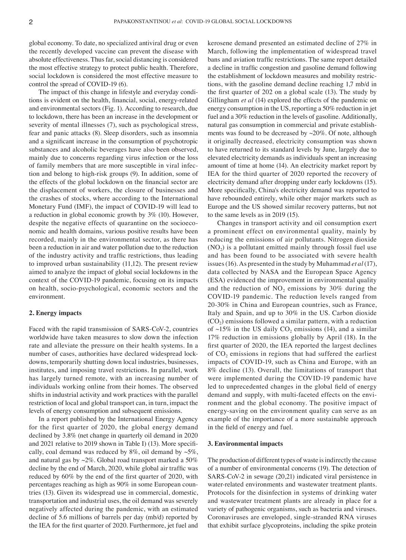global economy. To date, no specialized antiviral drug or even the recently developed vaccine can prevent the disease with absolute effectiveness. Thus far, social distancing is considered the most effective strategy to protect public health. Therefore, social lockdown is considered the most effective measure to control the spread of COVID-19 (6).

The impact of this change in lifestyle and everyday conditions is evident on the health, financial, social, energy‑related and environmental sectors (Fig. 1). According to research, due to lockdown, there has been an increase in the development or severity of mental illnesses (7), such as psychological stress, fear and panic attacks (8). Sleep disorders, such as insomnia and a significant increase in the consumption of psychotropic substances and alcoholic beverages have also been observed, mainly due to concerns regarding virus infection or the loss of family members that are more susceptible in viral infection and belong to high-risk groups (9). In addition, some of the effects of the global lockdown on the financial sector are the displacement of workers, the closure of businesses and the crashes of stocks, where according to the International Monetary Fund (IMF), the impact of COVID-19 will lead to a reduction in global economic growth by 3% (10). However, despite the negative effects of quarantine on the socioeconomic and health domains, various positive results have been recorded, mainly in the environmental sector, as there has been a reduction in air and water pollution due to the reduction of the industry activity and traffic restrictions, thus leading to improved urban sustainability (11,12). The present review aimed to analyze the impact of global social lockdowns in the context of the COVID‑19 pandemic, focusing on its impacts on health, socio‑psychological, economic sectors and the environment.

## **2. Energy impacts**

Faced with the rapid transmission of SARS-CoV-2, countries worldwide have taken measures to slow down the infection rate and alleviate the pressure on their health systems. In a number of cases, authorities have declared widespread lockdowns, temporarily shutting down local industries, businesses, institutes, and imposing travel restrictions. In parallel, work has largely turned remote, with an increasing number of individuals working online from their homes. The observed shifts in industrial activity and work practices with the parallel restriction of local and global transport can, in turn, impact the levels of energy consumption and subsequent emissions.

In a report published by the International Energy Agency for the first quarter of 2020, the global energy demand declined by 3.8% (net change in quarterly oil demand in 2020 and 2021 relative to 2019 shown in Table I) (13). More specifically, coal demand was reduced by  $8\%$ , oil demand by  $\sim$ 5%, and natural gas by  $\sim$ 2%. Global road transport marked a 50% decline by the end of March, 2020, while global air traffic was reduced by 60% by the end of the first quarter of 2020, with percentages reaching as high as 90% in some European countries (13). Given its widespread use in commercial, domestic, transportation and industrial uses, the oil demand was severely negatively affected during the pandemic, with an estimated decline of 5.6 millions of barrels per day (mb/d) reported by the IEA for the first quarter of 2020. Furthermore, jet fuel and kerosene demand presented an estimated decline of 27% in March, following the implementation of widespread travel bans and aviation traffic restrictions. The same report detailed a decline in traffic congestion and gasoline demand following the establishment of lockdown measures and mobility restrictions, with the gasoline demand decline reaching 1,7 mb/d in the first quarter of 202 on a global scale (13). The study by Gillingham *et al* (14) explored the effects of the pandemic on energy consumption in the US, reporting a 50% reduction in jet fuel and a 30% reduction in the levels of gasoline. Additionally, natural gas consumption in commercial and private establishments was found to be decreased by ~20%. Of note, although it originally decreased, electricity consumption was shown to have returned to its standard levels by June, largely due to elevated electricity demands as individuals spent an increasing amount of time at home (14). An electricity market report by IEA for the third quarter of 2020 reported the recovery of electricity demand after dropping under early lockdowns (15). More specifically, China's electricity demand was reported to have rebounded entirely, while other major markets such as Europe and the US showed similar recovery patterns, but not to the same levels as in 2019 (15).

Changes in transport activity and oil consumption exert a prominent effect on environmental quality, mainly by reducing the emissions of air pollutants. Nitrogen dioxide  $(NO<sub>2</sub>)$  is a pollutant emitted mainly through fossil fuel use and has been found to be associated with severe health issues(16). As presented in the study by Muhammad *et al*(17), data collected by NASA and the European Space Agency (ESA) evidenced the improvement in environmental quality and the reduction of  $NO<sub>2</sub>$  emissions by 30% during the COVID‑19 pandemic. The reduction levels ranged from 20‑30% in China and European countries, such as France, Italy and Spain, and up to 30% in the US. Carbon dioxide  $(CO<sub>2</sub>)$  emissions followed a similar pattern, with a reduction of  $\sim$ 15% in the US daily CO<sub>2</sub> emissions (14), and a similar 17% reduction in emissions globally by April (18). In the first quarter of 2020, the IEA reported the largest declines of  $CO<sub>2</sub>$  emissions in regions that had suffered the earliest impacts of COVID‑19, such as China and Europe, with an 8% decline (13). Overall, the limitations of transport that were implemented during the COVID-19 pandemic have led to unprecedented changes in the global field of energy demand and supply, with multi-faceted effects on the environment and the global economy. The positive impact of energy‑saving on the environment quality can serve as an example of the importance of a more sustainable approach in the field of energy and fuel.

## **3. Environmental impacts**

The production of different types of waste is indirectly the cause of a number of environmental concerns (19). The detection of SARS–CoV-2 in sewage (20,21) indicated viral persistence in water-related environments and wastewater treatment plants. Protocols for the disinfection in systems of drinking water and wastewater treatment plants are already in place for a variety of pathogenic organisms, such as bacteria and viruses. Coronaviruses are enveloped, single‑stranded RNA viruses that exhibit surface glycoproteins, including the spike protein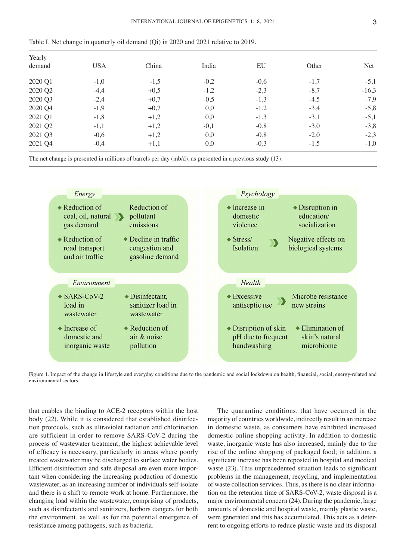|  |  |  |  |  |  |  |  |  |  |  | Table I. Net change in quarterly oil demand $(Qi)$ in 2020 and 2021 relative to 2019. |  |  |  |  |  |  |  |  |  |  |  |  |  |  |
|--|--|--|--|--|--|--|--|--|--|--|---------------------------------------------------------------------------------------|--|--|--|--|--|--|--|--|--|--|--|--|--|--|
|--|--|--|--|--|--|--|--|--|--|--|---------------------------------------------------------------------------------------|--|--|--|--|--|--|--|--|--|--|--|--|--|--|

| Yearly  |            |        |        |        |        |         |  |  |  |
|---------|------------|--------|--------|--------|--------|---------|--|--|--|
| demand  | <b>USA</b> | China  | India  | EU     | Other  | Net     |  |  |  |
| 2020 Q1 | $-1,0$     | $-1,5$ | $-0,2$ | $-0,6$ | $-1,7$ | $-5,1$  |  |  |  |
| 2020 Q2 | $-4,4$     | $+0,5$ | $-1,2$ | $-2,3$ | $-8,7$ | $-16,3$ |  |  |  |
| 2020 Q3 | $-2,4$     | $+0,7$ | $-0,5$ | $-1,3$ | $-4,5$ | $-7,9$  |  |  |  |
| 2020 Q4 | $-1,9$     | $+0,7$ | 0,0    | $-1,2$ | $-3,4$ | $-5,8$  |  |  |  |
| 2021 Q1 | $-1,8$     | $+1,2$ | 0,0    | $-1,3$ | $-3,1$ | $-5,1$  |  |  |  |
| 2021 Q2 | $-1,1$     | $+1,2$ | $-0,1$ | $-0,8$ | $-3,0$ | $-3,8$  |  |  |  |
| 2021 Q3 | $-0,6$     | $+1,2$ | 0,0    | $-0,8$ | $-2,0$ | $-2,3$  |  |  |  |
| 2021 Q4 | $-0,4$     | $+1,1$ | 0,0    | $-0,3$ | $-1,5$ | $-1,0$  |  |  |  |

The net change is presented in millions of barrels per day (mb/d), as presented in a previous study (13).



Figure 1. Impact of the change in lifestyle and everyday conditions due to the pandemic and social lockdown on health, financial, social, energy-related and environmental sectors.

that enables the binding to ACE‑2 receptors within the host body (22). While it is considered that established disinfection protocols, such as ultraviolet radiation and chlorination are sufficient in order to remove SARS‑CoV‑2 during the process of wastewater treatment, the highest achievable level of efficacy is necessary, particularly in areas where poorly treated wastewater may be discharged to surface water bodies. Efficient disinfection and safe disposal are even more important when considering the increasing production of domestic wastewater, as an increasing number of individuals self-isolate and there is a shift to remote work at home. Furthermore, the changing load within the wastewater, comprising of products, such as disinfectants and sanitizers, harbors dangers for both the environment, as well as for the potential emergence of resistance among pathogens, such as bacteria.

The quarantine conditions, that have occurred in the majority of countries worldwide, indirectly result in an increase in domestic waste, as consumers have exhibited increased domestic online shopping activity. In addition to domestic waste, inorganic waste has also increased, mainly due to the rise of the online shopping of packaged food; in addition, a significant increase has been reposted in hospital and medical waste (23). This unprecedented situation leads to significant problems in the management, recycling, and implementation of waste collection services. Thus, as there is no clear information on the retention time of SARS‑CoV‑2, waste disposal is a major environmental concern (24). During the pandemic, large amounts of domestic and hospital waste, mainly plastic waste, were generated and this has accumulated. This acts as a deterrent to ongoing efforts to reduce plastic waste and its disposal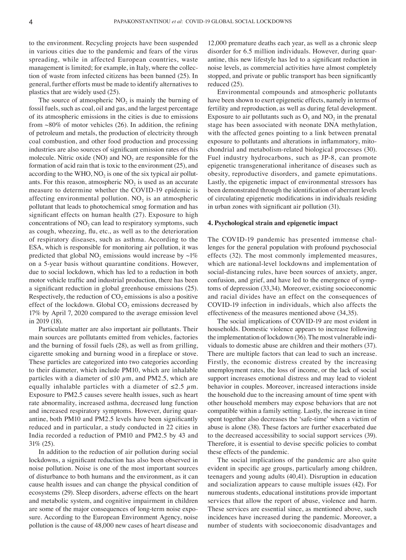to the environment. Recycling projects have been suspended in various cities due to the pandemic and fears of the virus spreading, while in affected European countries, waste management is limited; for example, in Italy, where the collection of waste from infected citizens has been banned (25). In general, further efforts must be made to identify alternatives to plastics that are widely used (25).

The source of atmospheric  $NO<sub>2</sub>$  is mainly the burning of fossil fuels, such as coal, oil and gas, and the largest percentage of its atmospheric emissions in the cities is due to emissions from  $~80\%$  of motor vehicles (26). In addition, the refining of petroleum and metals, the production of electricity through coal combustion, and other food production and processing industries are also sources of significant emission rates of this molecule. Nitric oxide (NO) and  $NO<sub>2</sub>$  are responsible for the formation of acid rain that is toxic to the environment (25), and according to the WHO,  $NO<sub>2</sub>$  is one of the six typical air pollut– ants. For this reason, atmospheric  $NO<sub>2</sub>$  is used as an accurate measure to determine whether the COVID-19 epidemic is affecting environmental pollution.  $NO<sub>2</sub>$  is an atmospheric pollutant that leads to photochemical smog formation and has significant effects on human health (27). Exposure to high concentrations of  $NO<sub>2</sub>$  can lead to respiratory symptoms, such as cough, wheezing, flu, etc., as well as to the deterioration of respiratory diseases, such as asthma. According to the ESA, which is responsible for monitoring air pollution, it was predicted that global NO<sub>2</sub> emissions would increase by  $\sim$ 1% on a 5‑year basis without quarantine conditions. However, due to social lockdown, which has led to a reduction in both motor vehicle traffic and industrial production, there has been a significant reduction in global greenhouse emissions (25). Respectively, the reduction of  $CO<sub>2</sub>$  emissions is also a positive effect of the lockdown. Global  $CO<sub>2</sub>$  emissions decreased by 17% by April 7, 2020 compared to the average emission level in 2019 (18).

Particulate matter are also important air pollutants. Their main sources are pollutants emitted from vehicles, factories and the burning of fossil fuels (28), as well as from grilling, cigarette smoking and burning wood in a fireplace or stove. These particles are categorized into two categories according to their diameter, which include PM10, which are inhalable particles with a diameter of ≤10  $μ$ m, and PM2.5, which are equally inhalable particles with a diameter of  $\leq 2.5 \mu$ m. Exposure to PM2.5 causes severe health issues, such as heart rate abnormality, increased asthma, decreased lung function and increased respiratory symptoms. However, during quarantine, both PM10 and PM2.5 levels have been significantly reduced and in particular, a study conducted in 22 cities in India recorded a reduction of PM10 and PM2.5 by 43 and 31% (25).

In addition to the reduction of air pollution during social lockdowns, a significant reduction has also been observed in noise pollution. Noise is one of the most important sources of disturbance to both humans and the environment, as it can cause health issues and can change the physical condition of ecosystems (29). Sleep disorders, adverse effects on the heart and metabolic system, and cognitive impairment in children are some of the major consequences of long-term noise exposure. According to the European Environment Agency, noise pollution is the cause of 48,000 new cases of heart disease and

12,000 premature deaths each year, as well as a chronic sleep disorder for 6.5 million individuals. However, during quarantine, this new lifestyle has led to a significant reduction in noise levels, as commercial activities have almost completely stopped, and private or public transport has been significantly reduced (25).

Environmental compounds and atmospheric pollutants have been shown to exert epigenetic effects, namely in terms of fertility and reproduction, as well as during fetal development. Exposure to air pollutants such as  $O_3$  and  $NO_2$  in the prenatal stage has been associated with neonate DNA methylation, with the affected genes pointing to a link between prenatal exposure to pollutants and alterations in inflammatory, mitochondrial and metabolism‑related biological processes (30). Fuel industry hydrocarbons, such as JP‑8, can promote epigenetic transgenerational inheritance of diseases such as obesity, reproductive disorders, and gamete epimutations. Lastly, the epigenetic impact of environmental stressors has been demonstrated through the identification of aberrant levels of circulating epigenetic modifications in individuals residing in urban zones with significant air pollution (31).

#### **4. Psychological strain and epigenetic impact**

The COVID-19 pandemic has presented immense challenges for the general population with profound psychosocial effects (32). The most commonly implemented measures, which are national-level lockdowns and implementation of social-distancing rules, have been sources of anxiety, anger, confusion, and grief, and have led to the emergence of symptoms of depression (33,34). Moreover, existing socioeconomic and racial divides have an effect on the consequences of COVID‑19 infection in individuals, which also affects the effectiveness of the measures mentioned above (34,35).

The social implications of COVID-19 are most evident in households. Domestic violence appears to increase following the implementation of lockdown (36). The most vulnerable individuals to domestic abuse are children and their mothers (37). There are multiple factors that can lead to such an increase. Firstly, the economic distress created by the increasing unemployment rates, the loss of income, or the lack of social support increases emotional distress and may lead to violent behavior in couples. Moreover, increased interactions inside the household due to the increasing amount of time spent with other household members may expose behaviors that are not compatible within a family setting. Lastly, the increase in time spent together also decreases the 'safe-time' when a victim of abuse is alone (38). These factors are further exacerbated due to the decreased accessibility to social support services (39). Therefore, it is essential to devise specific policies to combat these effects of the pandemic.

The social implications of the pandemic are also quite evident in specific age groups, particularly among children, teenagers and young adults (40,41). Disruption in education and socialization appears to cause multiple issues (42). For numerous students, educational institutions provide important services that allow the report of abuse, violence and harm. These services are essential since, as mentioned above, such incidences have increased during the pandemic. Moreover, a number of students with socioeconomic disadvantages and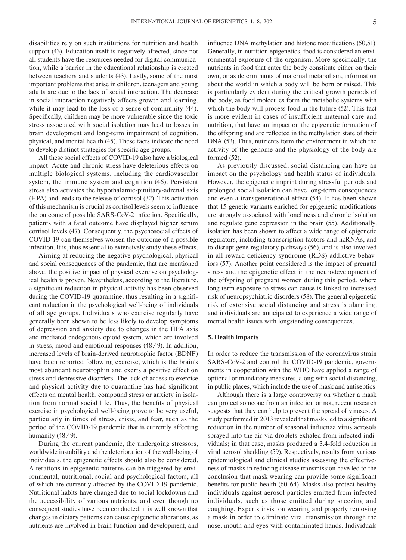disabilities rely on such institutions for nutrition and health support (43). Education itself is negatively affected, since not all students have the resources needed for digital communication, while a barrier in the educational relationship is created between teachers and students (43). Lastly, some of the most important problems that arise in children, teenagers and young adults are due to the lack of social interaction. The decrease in social interaction negatively affects growth and learning, while it may lead to the loss of a sense of community (44). Specifically, children may be more vulnerable since the toxic stress associated with social isolation may lead to losses in brain development and long‑term impairment of cognition, physical, and mental health (45). These facts indicate the need to develop distinct strategies for specific age groups.

All these social effects of COVID-19 also have a biological impact. Acute and chronic stress have deleterious effects on multiple biological systems, including the cardiovascular system, the immune system and cognition (46). Persistent stress also activates the hypothalamic‑pituitary‑adrenal axis (HPA) and leads to the release of cortisol (32). This activation of this mechanism is crucial as cortisol levels seem to influence the outcome of possible SARS-CoV-2 infection. Specifically, patients with a fatal outcome have displayed higher serum cortisol levels (47). Consequently, the psychosocial effects of COVID‑19 can themselves worsen the outcome of a possible infection. It is, thus essential to extensively study these effects.

Aiming at reducing the negative psychological, physical and social consequences of the pandemic, that are mentioned above, the positive impact of physical exercise on psychological health is proven. Nevertheless, according to the literature, a significant reduction in physical activity has been observed during the COVID-19 quarantine, thus resulting in a significant reduction in the psychological well-being of individuals of all age groups. Individuals who exercise regularly have generally been shown to be less likely to develop symptoms of depression and anxiety due to changes in the HPA axis and mediated endogenous opioid system, which are involved in stress, mood and emotional responses (48,49). In addition, increased levels of brain‑derived neurotrophic factor (BDNF) have been reported following exercise, which is the brain's most abundant neurotrophin and exerts a positive effect on stress and depressive disorders. The lack of access to exercise and physical activity due to quarantine has had significant effects on mental health, compound stress or anxiety in isolation from normal social life. Thus, the benefits of physical exercise in psychological well-being prove to be very useful, particularly in times of stress, crisis, and fear, such as the period of the COVID‑19 pandemic that is currently affecting humanity (48,49).

During the current pandemic, the undergoing stressors, worldwide instability and the deterioration of the well-being of individuals, the epigenetic effects should also be considered. Alterations in epigenetic patterns can be triggered by environmental, nutritional, social and psychological factors, all of which are currently affected by the COVID‑19 pandemic. Nutritional habits have changed due to social lockdowns and the accessibility of various nutrients, and even though no consequent studies have been conducted, it is well known that changes in dietary patterns can cause epigenetic alterations, as nutrients are involved in brain function and development, and influence DNA methylation and histone modifications (50,51). Generally, in nutrition epigenetics, food is considered an environmental exposure of the organism. More specifically, the nutrients in food that enter the body constitute either on their own, or as determinants of maternal metabolism, information about the world in which a body will be born or raised. This is particularly evident during the critical growth periods of the body, as food molecules form the metabolic systems with which the body will process food in the future (52). This fact is more evident in cases of insufficient maternal care and nutrition, that have an impact on the epigenetic formation of the offspring and are reflected in the methylation state of their DNA (53). Thus, nutrients form the environment in which the activity of the genome and the physiology of the body are formed (52).

As previously discussed, social distancing can have an impact on the psychology and health status of individuals. However, the epigenetic imprint during stressful periods and prolonged social isolation can have long‑term consequences and even a transgenerational effect (54). It has been shown that 15 genetic variants enriched for epigenetic modifications are strongly associated with loneliness and chronic isolation and regulate gene expression in the brain (55). Additionally, isolation has been shown to affect a wide range of epigenetic regulators, including transcription factors and ncRNAs, and to disrupt gene regulatory pathways (56), and is also involved in all reward deficiency syndrome (RDS) addictive behaviors (57). Another point considered is the impact of prenatal stress and the epigenetic effect in the neurodevelopment of the offspring of pregnant women during this period, where long‑term exposure to stress can cause is linked to increased risk of neuropsychiatric disorders (58). The general epigenetic risk of extensive social distancing and stress is alarming, and individuals are anticipated to experience a wide range of mental health issues with longstanding consequences.

#### **5. Health impacts**

In order to reduce the transmission of the coronavirus strain SARS-CoV-2 and control the COVID-19 pandemic, governments in cooperation with the WHO have applied a range of optional or mandatory measures, along with social distancing, in public places, which include the use of mask and antiseptics.

Although there is a large controversy on whether a mask can protect someone from an infection or not, recent research suggests that they can help to prevent the spread of viruses. A study performed in 2013 revealed that masks led to a significant reduction in the number of seasonal influenza virus aerosols sprayed into the air via droplets exhaled from infected individuals; in that case, masks produced a 3.4‑fold reduction in viral aerosol shedding (59). Respectively, results from various epidemiological and clinical studies assessing the effectiveness of masks in reducing disease transmission have led to the conclusion that mask‑wearing can provide some significant benefits for public health (60‑64). Masks also protect healthy individuals against aerosol particles emitted from infected individuals, such as those emitted during sneezing and coughing. Experts insist on wearing and properly removing a mask in order to eliminate viral transmission through the nose, mouth and eyes with contaminated hands. Individuals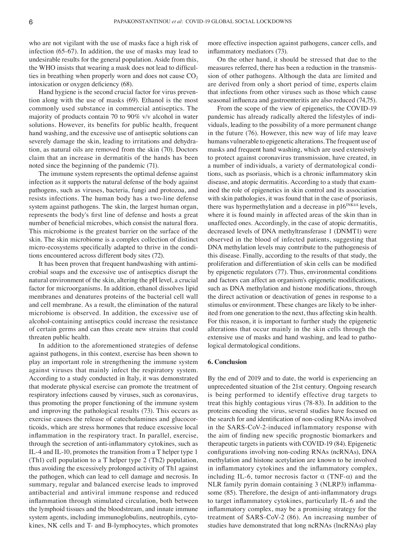who are not vigilant with the use of masks face a high risk of infection (65‑67). In addition, the use of masks may lead to undesirable results for the general population. Aside from this, the WHO insists that wearing a mask does not lead to difficulties in breathing when properly worn and does not cause  $CO<sub>2</sub>$ intoxication or oxygen deficiency (68).

Hand hygiene is the second crucial factor for virus prevention along with the use of masks (69). Ethanol is the most commonly used substance in commercial antiseptics. The majority of products contain 70 to 90% v/v alcohol in water solutions. However, its benefits for public health, frequent hand washing, and the excessive use of antiseptic solutions can severely damage the skin, leading to irritations and dehydration, as natural oils are removed from the skin (70). Doctors claim that an increase in dermatitis of the hands has been noted since the beginning of the pandemic (71).

The immune system represents the optimal defense against infection as it supports the natural defense of the body against pathogens, such as viruses, bacteria, fungi and protozoa, and resists infections. The human body has a two-line defense system against pathogens. The skin, the largest human organ, represents the body's first line of defense and hosts a great number of beneficial microbes, which consist the natural flora. This microbiome is the greatest barrier on the surface of the skin. The skin microbiome is a complex collection of distinct micro-ecosystems specifically adapted to thrive in the conditions encountered across different body sites (72).

It has been proven that frequent handwashing with antimicrobial soaps and the excessive use of antiseptics disrupt the natural environment of the skin, altering the pH level, a crucial factor for microorganisms. In addition, ethanol dissolves lipid membranes and denatures proteins of the bacterial cell wall and cell membrane. As a result, the elimination of the natural microbiome is observed. In addition, the excessive use of alcohol-containing antiseptics could increase the resistance of certain germs and can thus create new strains that could threaten public health.

In addition to the aforementioned strategies of defense against pathogens, in this context, exercise has been shown to play an important role in strengthening the immune system against viruses that mainly infect the respiratory system. According to a study conducted in Italy, it was demonstrated that moderate physical exercise can promote the treatment of respiratory infections caused by viruses, such as coronavirus, thus promoting the proper functioning of the immune system and improving the pathological results (73). This occurs as exercise causes the release of catecholamines and glucocorticoids, which are stress hormones that reduce excessive local inflammation in the respiratory tract. In parallel, exercise, through the secretion of anti‑inflammatory cytokines, such as IL‑4 and IL‑10, promotes the transition from a T helper type 1 (Th1) cell population to a T helper type 2 (Th2) population, thus avoiding the excessively prolonged activity of Th1 against the pathogen, which can lead to cell damage and necrosis. In summary, regular and balanced exercise leads to improved antibacterial and antiviral immune response and reduced inflammation through stimulated circulation, both between the lymphoid tissues and the bloodstream, and innate immune system agents, including immunoglobulins, neutrophils, cytokines, NK cells and T‑ and B‑lymphocytes, which promotes

more effective inspection against pathogens, cancer cells, and inflammatory mediators (73).

On the other hand, it should be stressed that due to the measures referred, there has been a reduction in the transmission of other pathogens. Although the data are limited and are derived from only a short period of time, experts claim that infections from other viruses such as those which cause seasonal influenza and gastroenteritis are also reduced (74,75).

From the scope of the view of epigenetics, the COVID-19 pandemic has already radically altered the lifestyles of individuals, leading to the possibility of a more permanent change in the future (76). However, this new way of life may leave humans vulnerable to epigenetic alterations. The frequent use of masks and frequent hand washing, which are used extensively to protect against coronavirus transmission, have created, in a number of individuals, a variety of dermatological conditions, such as psoriasis, which is a chronic inflammatory skin disease, and atopic dermatitis. According to a study that examined the role of epigenetics in skin control and its association with skin pathologies, it was found that in the case of psoriasis, there was hypermethylation and a decrease in  $p16^{INK4A}$  levels, where it is found mainly in affected areas of the skin than in unaffected ones. Accordingly, in the case of atopic dermatitis, decreased levels of DNA methyltransferase 1 (DNMT1) were observed in the blood of infected patients, suggesting that DNA methylation levels may contribute to the pathogenesis of this disease. Finally, according to the results of that study, the proliferation and differentiation of skin cells can be modified by epigenetic regulators (77). Thus, environmental conditions and factors can affect an organism's epigenetic modifications, such as DNA methylation and histone modifications, through the direct activation or deactivation of genes in response to a stimulus or environment. These changes are likely to be inherited from one generation to the next, thus affecting skin health. For this reason, it is important to further study the epigenetic alterations that occur mainly in the skin cells through the extensive use of masks and hand washing, and lead to pathological dermatological conditions.

#### **6. Conclusion**

By the end of 2019 and to date, the world is experiencing an unprecedented situation of the 21st century. Ongoing research is being performed to identify effective drug targets to treat this highly contagious virus (78‑83). In addition to the proteins encoding the virus, several studies have focused on the search for and identification of non‑coding RNAs involved in the SARS-CoV-2-induced inflammatory response with the aim of finding new specific prognostic biomarkers and therapeutic targets in patients with COVID‑19 (84). Epigenetic configurations involving non‑coding RNAs (ncRNAs), DNA methylation and histone acetylation are known to be involved in inflammatory cytokines and the inflammatory complex, including IL-6, tumor necrosis factor  $\alpha$  (TNF- $\alpha$ ) and the NLR family pyrin domain containing 3 (NLRP3) inflammasome (85). Therefore, the design of anti-inflammatory drugs to target inflammatory cytokines, particularly IL‑6 and the inflammatory complex, may be a promising strategy for the treatment of SARS-CoV-2 (86). An increasing number of studies have demonstrated that long ncRNAs (lncRNAs) play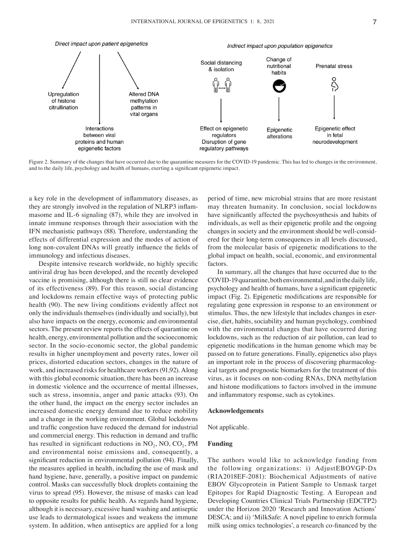

Figure 2. Summary of the changes that have occurred due to the quarantine measures for the COVID-19 pandemic. This has led to changes in the environment, and to the daily life, psychology and health of humans, exerting a significant epigenetic impact.

a key role in the development of inflammatory diseases, as they are strongly involved in the regulation of NLRP3 inflammasome and IL-6 signaling (87), while they are involved in innate immune responses through their association with the IFN mechanistic pathways (88). Therefore, understanding the effects of differential expression and the modes of action of long non-covalent DNAs will greatly influence the fields of immunology and infectious diseases.

Despite intensive research worldwide, no highly specific antiviral drug has been developed, and the recently developed vaccine is promising, although there is still no clear evidence of its effectiveness (89). For this reason, social distancing and lockdowns remain effective ways of protecting public health (90). The new living conditions evidently affect not only the individuals themselves (individually and socially), but also have impacts on the energy, economic and environmental sectors. The present review reports the effects of quarantine on health, energy, environmental pollution and the socioeconomic sector. In the socio-economic sector, the global pandemic results in higher unemployment and poverty rates, lower oil prices, distorted education sectors, changes in the nature of work, and increased risks for healthcare workers(91,92). Along with this global economic situation, there has been an increase in domestic violence and the occurrence of mental illnesses, such as stress, insomnia, anger and panic attacks (93). On the other hand, the impact on the energy sector includes an increased domestic energy demand due to reduce mobility and a change in the working environment. Global lockdowns and traffic congestion have reduced the demand for industrial and commercial energy. This reduction in demand and traffic has resulted in significant reductions in  $NO<sub>2</sub>$ ,  $NO<sub>2</sub>$ ,  $PM$ and environmental noise emissions and, consequently, a significant reduction in environmental pollution (94). Finally, the measures applied in health, including the use of mask and hand hygiene, have, generally, a positive impact on pandemic control. Masks can successfully block droplets containing the virus to spread (95). However, the misuse of masks can lead to opposite results for public health. As regards hand hygiene, although it is necessary, excessive hand washing and antiseptic use leads to dermatological issues and weakens the immune system. In addition, when antiseptics are applied for a long period of time, new microbial strains that are more resistant may threaten humanity. In conclusion, social lockdowns have significantly affected the psychosynthesis and habits of individuals, as well as their epigenetic profile and the ongoing changes in society and the environment should be well-considered for their long‑term consequences in all levels discussed, from the molecular basis of epigenetic modifications to the global impact on health, social, economic, and environmental factors.

In summary, all the changes that have occurred due to the COVID‑19 quarantine, both environmental, and in the daily life, psychology and health of humans, have a significant epigenetic impact (Fig. 2). Epigenetic modifications are responsible for regulating gene expression in response to an environment or stimulus. Thus, the new lifestyle that includes changes in exercise, diet, habits, sociability and human psychology, combined with the environmental changes that have occurred during lockdowns, such as the reduction of air pollution, can lead to epigenetic modifications in the human genome which may be passed on to future generations. Finally, epigenetics also plays an important role in the process of discovering pharmacological targets and prognostic biomarkers for the treatment of this virus, as it focuses on non‑coding RNAs, DNA methylation and histone modifications to factors involved in the immune and inflammatory response, such as cytokines.

# **Acknowledgements**

#### Not applicable.

## **Funding**

The authors would like to acknowledge funding from the following organizations: i) AdjustEBOVGP‑Dx (RIA2018EF‑2081): Biochemical Adjustments of native EBOV Glycoprotein in Patient Sample to Unmask target Epitopes for Rapid Diagnostic Testing. A European and Developing Countries Clinical Trials Partnership (EDCTP2) under the Horizon 2020 'Research and Innovation Actions' DESCA; and ii) 'MilkSafe: A novel pipeline to enrich formula milk using omics technologies', a research co-financed by the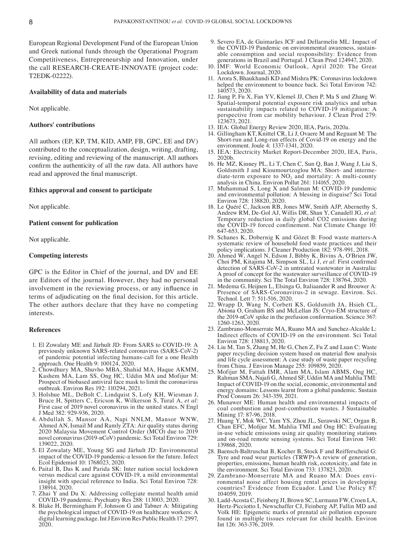European Regional Development Fund of the European Union and Greek national funds through the Operational Program Competitiveness, Entrepreneurship and Innovation, under the call RESEARCH‑CREATE‑INNOVATE (project code: T2EDK‑02222).

### **Availability of data and materials**

Not applicable.

## **Authors' contributions**

All authors (EP, KP, TM, KID, AMP, FB, GPC, EE and DV) contributed to the conceptualization, design, writing, drafting, revising, editing and reviewing of the manuscript. All authors confirm the authenticity of all the raw data. All authors have read and approved the final manuscript.

### **Ethics approval and consent to participate**

Not applicable.

### **Patient consent for publication**

Not applicable.

## **Competing interests**

GPC is the Editor in Chief of the journal, and DV and EE are Editors of the journal. However, they had no personal involvement in the reviewing process, or any influence in terms of adjudicating on the final decision, for this article. The other authors declare that they have no competing interests.

#### **References**

- 1. El Zowalaty ME and Järhult JD: From SARS to COVID‑19: A previously unknown SARS‑related coronavirus (SARS‑CoV‑2) of pandemic potential infecting humans‑call for a one Health approach. One Health 9: 100124, 2020.
- 2. Chowdhury MA, Shuvho MBA, Shahid MA, Haque AKMM, Kashem MA, Lam SS, Ong HC, Uddin MA and Mofijur M: Prospect of biobased antiviral face mask to limit the coronavirus outbreak. Environ Res 192: 110294, 2021.
- 3. Holshue ML, DeBolt C, Lindquist S, Lofy KH, Wiesman J, Bruce H, Spitters C, Ericson K, Wilkerson S, Tural A, *et al*: First case of 2019 novel coronavirus in the united states. N Engl J Med 382: 929‑936, 2020.
- 4. Abdullah S, Mansor AA, Napi NNLM, Mansor WNW, Ahmed AN, Ismail M and Ramly ZTA: Air quality status during 2020 Malaysia Movement Control Order (MCO) due to 2019 novel coronavirus (2019‑nCoV) pandemic. Sci Total Environ 729: 139022, 2020.
- 5. El Zowalaty ME, Young SG and Järhult JD: Environmental impact of the COVID‑19 pandemic‑a lesson for the future. Infect Ecol Epidemiol 10: 1768023, 2020.
- 6. Paital B, Das K and Parida SK: Inter nation social lockdown versus medical care against COVID‑19, a mild environmental insight with special reference to India. Sci Total Environ 728: 138914, 2020.
- 7. Zhai Y and Du X: Addressing collegiate mental health amid COVID‑19 pandemic. Psychiatry Res 288: 113003, 2020.
- 8. Blake H, Bermingham F, Johnson G and Tabner A: Mitigating the psychological impact of COVID-19 on healthcare workers: A digital learning package. Int J Environ Res Public Health 17: 2997, 2020.
- 9. Severo EA, de Guimarães JCF and Dellarmelin ML: Impact of able consumption and social responsibility: Evidence from generations in Brazil and Portugal. J Clean Prod 124947, 2020.
- 10. IMF: World Economic Outlook, April 2020: The Great Lockdown. Journal, 2020.
- 11. Arora S, Bhaukhandi KD and Mishra PK: Coronavirus lockdown helped the environment to bounce back. Sci Total Environ 742: 140573, 2020.
- 12. Jiang P, Fu X, Fan YV, Klemeš JJ, Chen P, Ma S and Zhang W: Spatial-temporal potential exposure risk analytics and urban sustainability impacts related to COVID-19 mitigation: A perspective from car mobility behaviour. J Clean Prod 279: 123673, 2021.
- 13. IEA: Global Energy Review 2020, IEA, Paris, 2020a.
- 14. Gillingham KT, Knittel CR, Li J, Ovaere M and Reguant M: The Short-run and Long-run effects of Covid-19 on energy and the environment. Joule 4: 1337‑1341, 2020.
- 15. ΙΕΑ: Electricity Market Report‑December 2020, IEA, Paris, 2020b.
- 16. He MZ, Kinney PL, Li T, Chen C, Sun Q, Ban J, Wang J, Liu S, Goldsmith J and Kioumourtzoglou MA: Short- and intermediate-term exposure to  $NO<sub>2</sub>$  and mortality: A multi-county analysis in China. Environ Pollut 261: 114165, 2020.
- 17. Muhammad S, Long X and Salman M: COVID-19 pandemic and environmental pollution: A blessing in disguise? Sci Total Environ 728: 138820, 2020.
- 18. Le Quéré C, Jackson RB, Jones MW, Smith AJP, Abernethy S, Andrew RM, De‑Gol AJ, Willis DR, Shan Y, Canadell JG, *et al*: Temporary reduction in daily global CO2 emissions during the COVID-19 forced confinement. Nat Climate Change 10: 647‑653, 2020.
- 19. Schanes K, Dobernig K and Gözet B: Food waste matters‑A systematic review of household food waste practices and their policy implications. J Cleaner Production 182: 978‑991, 2018.
- 20. Ahmed W, Angel N, Edson J, Bibby K, Bivins A, O'Brien JW, Choi PM, Kitajima M, Simpson SL, Li J, *et al*: First confirmed detection of SARS-CoV-2 in untreated wastewater in Australia: A proof of concept for the wastewater surveillance of COVID-19 in the community. Sci The Total Environ 728: 138764, 2020.
- 21. Medema G, Heijnen L, Elsinga G, Italiaander R and Brouwer A: Presence of SARS-Coronavirus-2 in sewage. Environ. Sci. Technol. Lett 7: 511‑516, 2020.
- 22. Wrapp D, Wang N, Corbett KS, Goldsmith JA, Hsieh CL, Abiona O, Graham BS and McLellan JS: Cryo‑EM structure of the 2019‑nCoV spike in the prefusion conformation. Science 367: 1260‑1263, 2020.
- 23. Zambrano‑Monserrate MA, Ruano MA and Sanchez‑Alcalde L: Indirect effects of COVID‑19 on the environment. Sci Total Environ 728: 138813, 2020.
- 24. Liu M, Tan S, Zhang M, He G, Chen Z, Fu Z and Luan C: Waste paper recycling decision system based on material flow analysis and life cycle assessment: A case study of waste paper recycling from China. J Environ Manage 255: 109859, 2020.
- 25. Mofijur M, Fattah IMR, Alam MA, Islam ABMS, Ong HC, Rahman SMA, Najafi G, Ahmed SF, Uddin MA and Mahlia TMI: Impact of COVID‑19 on the social, economic, environmental and energy domains: Lessons learnt from a global pandemic. Sustain Prod Consum 26: 343‑359, 2021.
- 26. Munawer ME: Human health and environmental impacts of coal combustion and post‑combustion wastes. J Sustainable Mining 17: 87-96, 2018.
- 27. Huang Y, Mok WC, Yam YS, Zhou JL, Surawski NC, Organ B, Chan EFC, Mofijur M, Mahlia TMI and Ong HC: Evaluating in‑use vehicle emissions using air quality monitoring stations and on-road remote sensing systems. Sci Total Environ 740: 139868, 2020.
- 28. Baensch‑Baltruschat B, Kocher B, Stock F and Reifferscheid G: Tyre and road wear particles (TRWP)‑A review of generation, properties, emissions, human health risk, ecotoxicity, and fate in the environment. Sci Total Environ 733: 137823, 2020.<br>29. Zambrano-Monserrate MA and Ruano MA: Does envi-
- 29. Zambrano‑Monserrate MA and Ruano MA: Does envi‑ ronmental noise affect housing rental prices in developing countries? Evidence from Ecuador. Land Use Policy 87: 104059, 2019.
- 30. Ladd‑Acosta C, Feinberg JI, Brown SC, Lurmann FW, Croen LA, Hertz‑Picciotto I, Newschaffer CJ, Feinberg AP, Fallin MD and Volk HE: Epigenetic marks of prenatal air pollution exposure found in multiple tissues relevant for child health. Environ Int 126: 363‑376, 2019.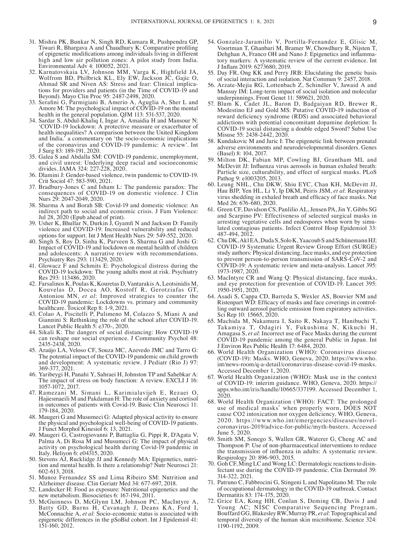- 31. Mishra PK, Bunkar N, Singh RD, Kumara R, Pushpendra GP, Tiwari R, Bhargava A and Chaudhury K: Comparative profiling of epigenetic modifications among individuals living in different high and low air pollution zones: A pilot study from India. Environmental Adv 4: 100052, 2021.
- 32. Karnatovskaia LV, Johnson MM, Varga K, Highfield JA, Wolfrom BD, Philbrick KL, Ely EW, Jackson JC, Gajic O, Ahmad SR and Niven AS: Stress and fear: Clinical implications for providers and patients (in the Time of COVID-19 and Beyond). Mayo Clin Proc 95: 2487‑2498, 2020.
- 33. Serafini G, Parmigiani B, Amerio A, Aguglia A, Sher L and Amore M: The psychological impact of COVID-19 on the mental health in the general population. QJM 113: 531-537, 2020.
- 34. Sardar S, Abdul‑Khaliq I, Ingar A, Amaidia H and Mansour N: 'COVID‑19 lockdown: A protective measure or exacerbator of health inequalities? A comparison between the United Kingdom and India.' a commentary on 'the socio‑economic implications of the coronavirus and COVID‑19 pandemic: A review'. Int J Surg 83: 189‑191, 2020.
- 35. Galea S and Abdalla SM: COVID‑19 pandemic, unemployment, and civil unrest: Underlying deep racial and socioeconomic divides. JAMA 324: 227‑228, 2020.
- 36. Dlamini J: Gender‑based violence, twin pandemic to COVID‑19. Crit Sociol 47: 583-590, 2021.
- 37. Bradbury‑Jones C and Isham L: The pandemic paradox: The consequences of COVID‑19 on domestic violence. J Clin Nurs 29: 2047‑2049, 2020.
- 38. Sharma A and Borah SB: Covid‑19 and domestic violence: An indirect path to social and economic crisis. J Fam Violence: Jul 28, 2020 (Epub ahead of print).
- 39. Usher K, Bhullar N, Durkin J, Gyamfi N and Jackson D: Family violence and COVID‑19: Increased vulnerability and reduced options for support. Int J Ment Health Nurs 29: 549‑552, 2020.
- 40. Singh S, Roy D, Sinha K, Parveen S, Sharma G and Joshi G: Impact of COVID-19 and lockdown on mental health of children and adolescents: A narrative review with recommendations. Psychiatry Res 293: 113429, 2020.
- 41. Glowacz F and Schmits E: Psychological distress during the COVID‑19 lockdown: The young adults most at risk. Psychiatry Res 293: 113486, 2020.
- 42. Farsalinos K, Poulas K, Kouretas D, Vantarakis A, Leotsinidis M, Kouvelas D, Docea AO, Kostoff R, Gerotziafas GT, Antoniou MN, *et al*: Improved strategies to counter the COVID‑19 pandemic: Lockdowns vs. primary and community healthcare. Toxicol Rep 8: 1‑9, 2021.
- 43. Colao A, Piscitelli P, Pulimeno M, Colazzo S, Miani A and Giannini S: Rethinking the role of the school after COVID-19. Lancet Public Health 5: e370‑, 2020.
- 44. Sikali K: The dangers of social distancing: How COVID-19 can reshape our social experience. J Community Psychol 48: 2435‑2438, 2020.
- 45. Araújo LA, Veloso CF, Souza MC, Azevedo JMC and Tarro G: The potential impact of the COVID‑19 pandemic on child growth and development: A systematic review. J Pediatr (Rio J) 97: 369‑377, 2021.
- 46. Yaribeygi H, Panahi Y, Sahraei H, Johnston TP and Sahebkar A: The impact of stress on body function: A review. EXCLI J 16: 1057‑1072, 2017.
- 47. Ramezani M, Simani L, Karimialavijeh E, Rezaei O, Hajiesmaeili M and Pakdaman H: The role of anxiety and cortisol in outcomes of patients with Covid-19. Basic Clin Neurosci 11: 179‑184, 2020.
- 48. Maugeri G and Musumeci G: Adapted physical activity to ensure the physical and psychological well‑being of COVID‑19 patients. J Funct Morphol Kinesiol 6: 13, 2021.
- 49. Maugeri G, Castrogiovanni P, Battaglia G, Pippi R, D'Agata V, Palma A, Di Rosa M and Musumeci G: The impact of physical activity on psychological health during Covid‑19 pandemic in Italy. Heliyon 6: e04315, 2020.<br>50. Stevens AJ, Rucklidge JJ and Kennedy MA: Epigenetics, nutri-
- tion and mental health. Is there a relationship? Nutr Neurosci 21: 602‑613, 2018.
- 51. Munoz Fernandez SS and Lima Ribeiro SM: Nutrition and Alzheimer disease. Clin Geriatr Med 34: 677‑697, 2018.
- 52. Landecker H: Food as exposure: Nutritional epigenetics and the new metabolism. Biosocieties 6: 167‑194, 2011.
- 53. McGuinness D, McGlynn LM, Johnson PC, MacIntyre A, Batty GD, Burns H, Cavanagh J, Deans KA, Ford I, McConnachie A, *et al*: Socio‑economic status is associated with epigenetic differences in the pSoBid cohort. Int J Epidemiol 41: 151‑160, 2012.
- 54. Gonzalez‑Jaramillo V, Portilla‑Fernandez E, Glisic M, Voortman T, Ghanbari M, Bramer W, Chowdhury R, Nijsten T, Dehghan A, Franco OH and Nano J: Epigenetics and inflammatory markers: A systematic review of the current evidence. Int J Inflam 2019: 6273680, 2019.
- 55. Day FR, Ong KK and Perry JRB: Elucidating the genetic basis of social interaction and isolation. Nat Commun 9: 2457, 2018.
- 56. Arzate‑Mejia RG, Lottenbach Z, Schindler V, Jawaid A and Mansuy IM: Long‑term impact of social isolation and molecular underpinnings. Front Genet 11: 589621, 2020.
- 57. Blum K, Cadet JL, Baron D, Badgaiyan RD, Brewer R, Modestino EJ and Gold MS: Putative COVID-19 induction of reward deficiency syndrome (RDS) and associated behavioral addictions with potential concomitant dopamine depletion: Is COVID‑19 social distancing a double edged Sword? Subst Use Misuse 55: 2438-2442, 2020.
- 58. Kundakovic M and Jaric I: The epigenetic link between prenatal adverse environments and neurodevelopmental disorders. Genes (Basel) 8: 104, 2017.
- 59. Milton DK, Fabian MP, Cowling BJ, Grantham ML and McDevitt JJ: Influenza virus aerosols in human exhaled breath: Particle size, culturability, and effect of surgical masks. PLoS Pathog 9: e1003205, 2013.
- 60. Leung NHL, Chu DKW, Shiu EYC, Chan KH, McDevitt JJ, Hau BJP, Yen HL, Li Y, Ip DKM, Peiris JSM, *et al*: Respiratory virus shedding in exhaled breath and efficacy of face masks. Nat Med 26: 676‑680, 2020.
- 61. Green CF, Davidson CS, Panlilio AL, Jensen PA, Jin Y, Gibbs SG and Scarpino PV: Effectiveness of selected surgical masks in arresting vegetative cells and endospores when worn by simulated contagious patients. Infect Control Hosp Epidemiol 33: 487‑494, 2012.
- 62. Chu DK, Akl EA, Duda S, Solo K, Yaacoub S and Schünemann HJ; COVID‑19 Systematic Urgent Review Group Effort (SURGE) study authors: Physical distancing, face masks, and eye protection to prevent person-to-person transmission of SARS-CoV-2 and COVID‑19: A systematic review and meta‑analysis. Lancet 395: 1973‑1987, 2020.
- 63. MacIntyre CR and Wang Q: Physical distancing, face masks, and eye protection for prevention of COVID-19. Lancet 395: 1950‑1951, 2020.
- 64. Asadi S, Cappa CD, Barreda S, Wexler AS, Bouvier NM and Ristenpart WD: Efficacy of masks and face coverings in controlling outward aerosol particle emission from expiratory activities. Sci Rep 10: 15665, 2020.
- 65. Machida M, Nakamura I, Saito R, Nakaya T, Hanibuchi T, Takamiya T, Odagiri Y, Fukushima N, Kikuchi H, Amagasa S, *et al*: Incorrect use of Face Masks during the current COVID‑19 pandemic among the general Public in Japan. Int J Environ Res Public Health 17: 6484, 2020.
- 66. World Health Organization (WHO): Coronavirus disease (COVID‑19): Masks. WHO, Geneva, 2020. https://www.who. int/news-room/q-a-detail/coronavirus-disease-covid-19-masks. Accessed December 1, 2020.
- 67. World Health Organization (WHO): Mask use in the context of COVID‑19: interim guidance. WHO, Geneva, 2020. https:// apps.who.int/iris/handle/10665/337199. Accessed December 1, 2020.
- 68. World Health Organization (WHO): FACT: The prolonged use of medical masks\* when properly worn, DOES NOT cause CO2 intoxication nor oxygen deficiency. WHO, Geneva, 2020. https://www.who.int/emergencies/diseases/novelcoronavirus-2019/advice-for-public/myth-busters. Accessed June 5, 2020.
- 69. Smith SM, Sonego S, Wallen GR, Waterer G, Cheng AC and Thompson P: Use of non‑pharmaceutical interventions to reduce the transmission of influenza in adults: A systematic review. Respirology 20: 896‑903, 2015.
- 70. Goh CF, Ming LC and Wong LC: Dermatologic reactions to disin‑ fectant use during the COVID-19 pandemic. Clin Dermatol 39: 314‑322, 2021.
- 71. Patruno C, Fabbrocini G, Stingeni L and Napolitano M: The role of occupational dermatology in the COVID‑19 outbreak. Contact Dermatitis 83: 174‑175, 2020.
- 72. Grice EA, Kong HH, Conlan S, Deming CB, Davis J and Young AC; NISC Comparative Sequencing Program, Bouffard GG, BlakesleyRW, Murray PR, *et al*: Topographical and temporal diversity of the human skin microbiome. Science 324: 1190‑1192, 2009.